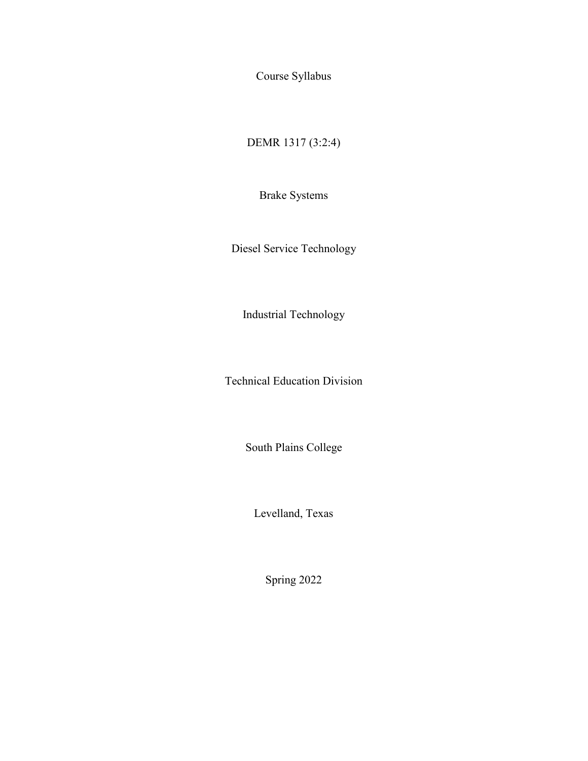Course Syllabus

DEMR 1317 (3:2:4)

Brake Systems

Diesel Service Technology

Industrial Technology

Technical Education Division

South Plains College

Levelland, Texas

Spring 2022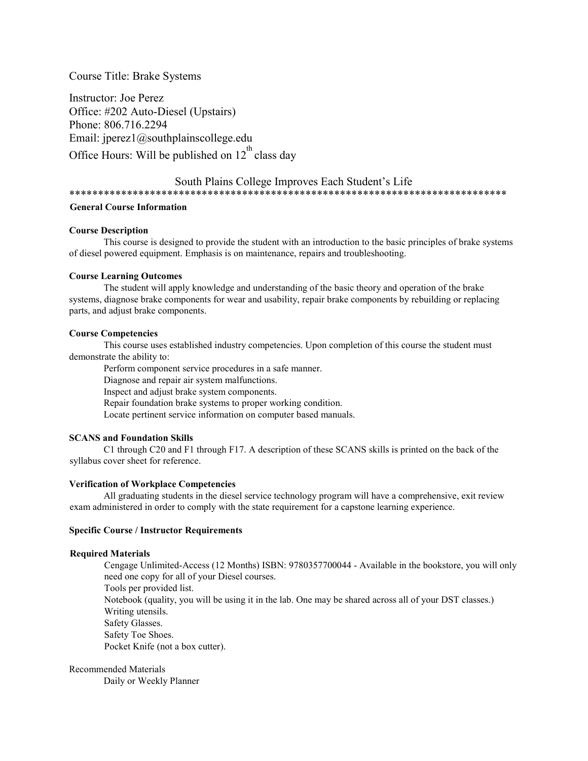## Course Title: Brake Systems

Instructor: Joe Perez Office: #202 Auto-Diesel (Upstairs) Phone: 806.716.2294 Email: jperez1@southplainscollege.edu Office Hours: Will be published on  $12^{th}$  class day

## South Plains College Improves Each Student's Life

\*\*\*\*\*\*\*\*\*\*\*\*\*\*\*\*\*\*\*\*\*\*\*\*\*\*\*\*\*\*\*\*\*\*\*\*\*\*\*\*\*\*\*\*\*\*\*\*\*\*\*\*\*\*\*\*\*\*\*\*\*\*\*\*\*\*\*\*\*\*\*\*\*\*\*\*

### **General Course Information**

#### **Course Description**

This course is designed to provide the student with an introduction to the basic principles of brake systems of diesel powered equipment. Emphasis is on maintenance, repairs and troubleshooting.

#### **Course Learning Outcomes**

The student will apply knowledge and understanding of the basic theory and operation of the brake systems, diagnose brake components for wear and usability, repair brake components by rebuilding or replacing parts, and adjust brake components.

#### **Course Competencies**

This course uses established industry competencies. Upon completion of this course the student must demonstrate the ability to:

Perform component service procedures in a safe manner.

Diagnose and repair air system malfunctions.

Inspect and adjust brake system components.

Repair foundation brake systems to proper working condition.

Locate pertinent service information on computer based manuals.

### **SCANS and Foundation Skills**

C1 through C20 and F1 through F17. A description of these SCANS skills is printed on the back of the syllabus cover sheet for reference.

#### **Verification of Workplace Competencies**

All graduating students in the diesel service technology program will have a comprehensive, exit review exam administered in order to comply with the state requirement for a capstone learning experience.

#### **Specific Course / Instructor Requirements**

#### **Required Materials**

Cengage Unlimited-Access (12 Months) ISBN: 9780357700044 - Available in the bookstore, you will only need one copy for all of your Diesel courses. Tools per provided list. Notebook (quality, you will be using it in the lab. One may be shared across all of your DST classes.) Writing utensils. Safety Glasses. Safety Toe Shoes. Pocket Knife (not a box cutter).

Recommended Materials Daily or Weekly Planner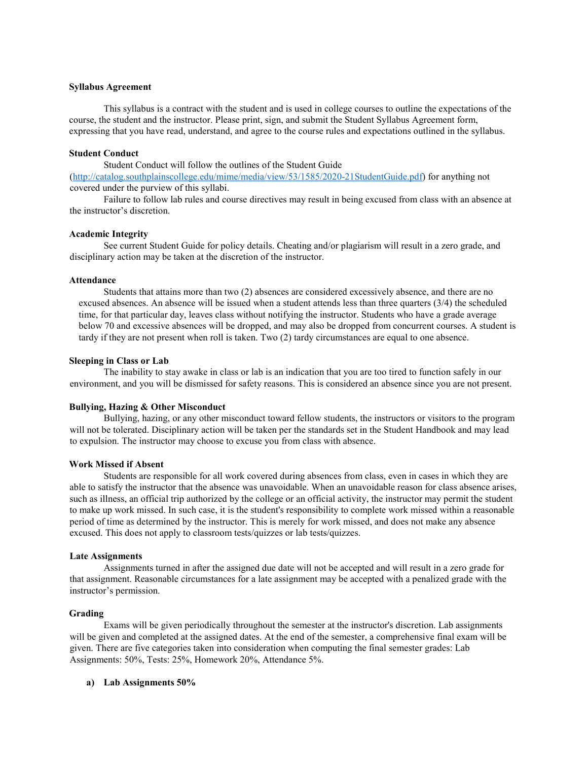#### **Syllabus Agreement**

This syllabus is a contract with the student and is used in college courses to outline the expectations of the course, the student and the instructor. Please print, sign, and submit the Student Syllabus Agreement form, expressing that you have read, understand, and agree to the course rules and expectations outlined in the syllabus.

#### **Student Conduct**

Student Conduct will follow the outlines of the Student Guide

[\(http://catalog.southplainscollege.edu/mime/media/view/53/1585/2020-21StudentGuide.pdf\)](http://catalog.southplainscollege.edu/mime/media/view/53/1585/2020-21StudentGuide.pdf) for anything not covered under the purview of this syllabi.

Failure to follow lab rules and course directives may result in being excused from class with an absence at the instructor's discretion.

#### **Academic Integrity**

See current Student Guide for policy details. Cheating and/or plagiarism will result in a zero grade, and disciplinary action may be taken at the discretion of the instructor.

#### **Attendance**

Students that attains more than two (2) absences are considered excessively absence, and there are no excused absences. An absence will be issued when a student attends less than three quarters (3/4) the scheduled time, for that particular day, leaves class without notifying the instructor. Students who have a grade average below 70 and excessive absences will be dropped, and may also be dropped from concurrent courses. A student is tardy if they are not present when roll is taken. Two (2) tardy circumstances are equal to one absence.

#### **Sleeping in Class or Lab**

The inability to stay awake in class or lab is an indication that you are too tired to function safely in our environment, and you will be dismissed for safety reasons. This is considered an absence since you are not present.

#### **Bullying, Hazing & Other Misconduct**

Bullying, hazing, or any other misconduct toward fellow students, the instructors or visitors to the program will not be tolerated. Disciplinary action will be taken per the standards set in the Student Handbook and may lead to expulsion. The instructor may choose to excuse you from class with absence.

#### **Work Missed if Absent**

Students are responsible for all work covered during absences from class, even in cases in which they are able to satisfy the instructor that the absence was unavoidable. When an unavoidable reason for class absence arises, such as illness, an official trip authorized by the college or an official activity, the instructor may permit the student to make up work missed. In such case, it is the student's responsibility to complete work missed within a reasonable period of time as determined by the instructor. This is merely for work missed, and does not make any absence excused. This does not apply to classroom tests/quizzes or lab tests/quizzes.

#### **Late Assignments**

Assignments turned in after the assigned due date will not be accepted and will result in a zero grade for that assignment. Reasonable circumstances for a late assignment may be accepted with a penalized grade with the instructor's permission.

#### **Grading**

Exams will be given periodically throughout the semester at the instructor's discretion. Lab assignments will be given and completed at the assigned dates. At the end of the semester, a comprehensive final exam will be given. There are five categories taken into consideration when computing the final semester grades: Lab Assignments: 50%, Tests: 25%, Homework 20%, Attendance 5%.

#### **a) Lab Assignments 50%**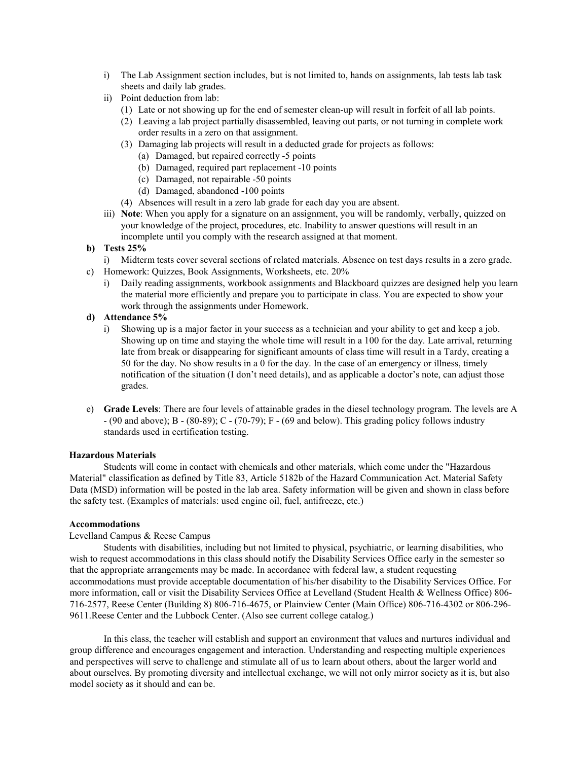- i) The Lab Assignment section includes, but is not limited to, hands on assignments, lab tests lab task sheets and daily lab grades.
- ii) Point deduction from lab:
	- (1) Late or not showing up for the end of semester clean-up will result in forfeit of all lab points.
	- (2) Leaving a lab project partially disassembled, leaving out parts, or not turning in complete work order results in a zero on that assignment.
	- (3) Damaging lab projects will result in a deducted grade for projects as follows:
		- (a) Damaged, but repaired correctly -5 points
		- (b) Damaged, required part replacement -10 points
		- (c) Damaged, not repairable -50 points
		- (d) Damaged, abandoned -100 points
	- (4) Absences will result in a zero lab grade for each day you are absent.
- iii) **Note**: When you apply for a signature on an assignment, you will be randomly, verbally, quizzed on your knowledge of the project, procedures, etc. Inability to answer questions will result in an incomplete until you comply with the research assigned at that moment.
- **b) Tests 25%**
	- i) Midterm tests cover several sections of related materials. Absence on test days results in a zero grade.
- c) Homework: Quizzes, Book Assignments, Worksheets, etc. 20%
	- i) Daily reading assignments, workbook assignments and Blackboard quizzes are designed help you learn the material more efficiently and prepare you to participate in class. You are expected to show your work through the assignments under Homework.
- **d) Attendance 5%**
	- i) Showing up is a major factor in your success as a technician and your ability to get and keep a job. Showing up on time and staying the whole time will result in a 100 for the day. Late arrival, returning late from break or disappearing for significant amounts of class time will result in a Tardy, creating a 50 for the day. No show results in a 0 for the day. In the case of an emergency or illness, timely notification of the situation (I don't need details), and as applicable a doctor's note, can adjust those grades.
- e) **Grade Levels**: There are four levels of attainable grades in the diesel technology program. The levels are A - (90 and above); B - (80-89); C - (70-79); F - (69 and below). This grading policy follows industry standards used in certification testing.

## **Hazardous Materials**

Students will come in contact with chemicals and other materials, which come under the "Hazardous Material" classification as defined by Title 83, Article 5182b of the Hazard Communication Act. Material Safety Data (MSD) information will be posted in the lab area. Safety information will be given and shown in class before the safety test. (Examples of materials: used engine oil, fuel, antifreeze, etc.)

## **Accommodations**

## Levelland Campus & Reese Campus

Students with disabilities, including but not limited to physical, psychiatric, or learning disabilities, who wish to request accommodations in this class should notify the Disability Services Office early in the semester so that the appropriate arrangements may be made. In accordance with federal law, a student requesting accommodations must provide acceptable documentation of his/her disability to the Disability Services Office. For more information, call or visit the Disability Services Office at Levelland (Student Health & Wellness Office) 806- 716-2577, Reese Center (Building 8) 806-716-4675, or Plainview Center (Main Office) 806-716-4302 or 806-296- 9611.Reese Center and the Lubbock Center. (Also see current college catalog.)

In this class, the teacher will establish and support an environment that values and nurtures individual and group difference and encourages engagement and interaction. Understanding and respecting multiple experiences and perspectives will serve to challenge and stimulate all of us to learn about others, about the larger world and about ourselves. By promoting diversity and intellectual exchange, we will not only mirror society as it is, but also model society as it should and can be.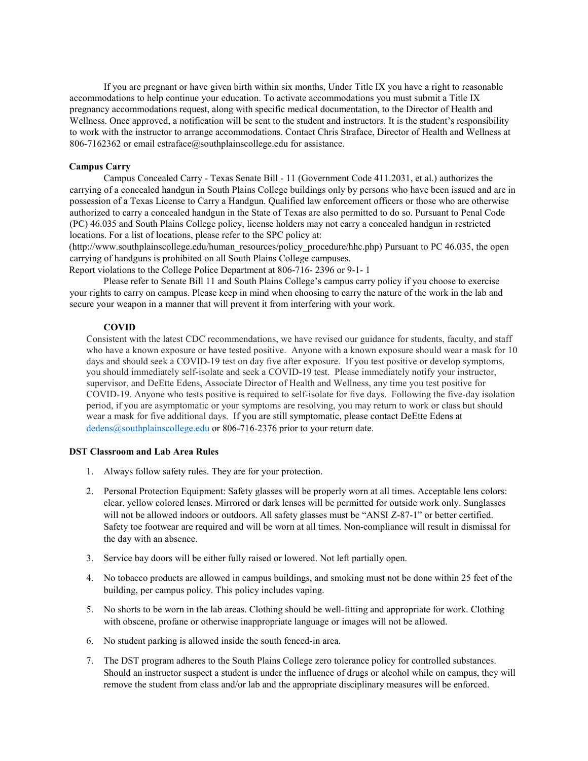If you are pregnant or have given birth within six months, Under Title IX you have a right to reasonable accommodations to help continue your education. To activate accommodations you must submit a Title IX pregnancy accommodations request, along with specific medical documentation, to the Director of Health and Wellness. Once approved, a notification will be sent to the student and instructors. It is the student's responsibility to work with the instructor to arrange accommodations. Contact Chris Straface, Director of Health and Wellness at 806-7162362 or email cstraface@southplainscollege.edu for assistance.

#### **Campus Carry**

Campus Concealed Carry - Texas Senate Bill - 11 (Government Code 411.2031, et al.) authorizes the carrying of a concealed handgun in South Plains College buildings only by persons who have been issued and are in possession of a Texas License to Carry a Handgun. Qualified law enforcement officers or those who are otherwise authorized to carry a concealed handgun in the State of Texas are also permitted to do so. Pursuant to Penal Code (PC) 46.035 and South Plains College policy, license holders may not carry a concealed handgun in restricted locations. For a list of locations, please refer to the SPC policy at:

(http://www.southplainscollege.edu/human\_resources/policy\_procedure/hhc.php) Pursuant to PC 46.035, the open carrying of handguns is prohibited on all South Plains College campuses.

Report violations to the College Police Department at 806-716- 2396 or 9-1- 1

Please refer to Senate Bill 11 and South Plains College's campus carry policy if you choose to exercise your rights to carry on campus. Please keep in mind when choosing to carry the nature of the work in the lab and secure your weapon in a manner that will prevent it from interfering with your work.

### **COVID**

Consistent with the latest CDC recommendations, we have revised our guidance for students, faculty, and staff who have a known exposure or have tested positive. Anyone with a known exposure should wear a mask for 10 days and should seek a COVID-19 test on day five after exposure. If you test positive or develop symptoms, you should immediately self-isolate and seek a COVID-19 test. Please immediately notify your instructor, supervisor, and DeEtte Edens, Associate Director of Health and Wellness, any time you test positive for COVID-19. Anyone who tests positive is required to self-isolate for five days. Following the five-day isolation period, if you are asymptomatic or your symptoms are resolving, you may return to work or class but should wear a mask for five additional days. If you are still symptomatic, please contact DeEtte Edens at [dedens@southplainscollege.edu](mailto:dedens@southplainscollege.edu) or 806-716-2376 prior to your return date.

#### **DST Classroom and Lab Area Rules**

- 1. Always follow safety rules. They are for your protection.
- 2. Personal Protection Equipment: Safety glasses will be properly worn at all times. Acceptable lens colors: clear, yellow colored lenses. Mirrored or dark lenses will be permitted for outside work only. Sunglasses will not be allowed indoors or outdoors. All safety glasses must be "ANSI Z-87-1" or better certified. Safety toe footwear are required and will be worn at all times. Non-compliance will result in dismissal for the day with an absence.
- 3. Service bay doors will be either fully raised or lowered. Not left partially open.
- 4. No tobacco products are allowed in campus buildings, and smoking must not be done within 25 feet of the building, per campus policy. This policy includes vaping.
- 5. No shorts to be worn in the lab areas. Clothing should be well-fitting and appropriate for work. Clothing with obscene, profane or otherwise inappropriate language or images will not be allowed.
- 6. No student parking is allowed inside the south fenced-in area.
- 7. The DST program adheres to the South Plains College zero tolerance policy for controlled substances. Should an instructor suspect a student is under the influence of drugs or alcohol while on campus, they will remove the student from class and/or lab and the appropriate disciplinary measures will be enforced.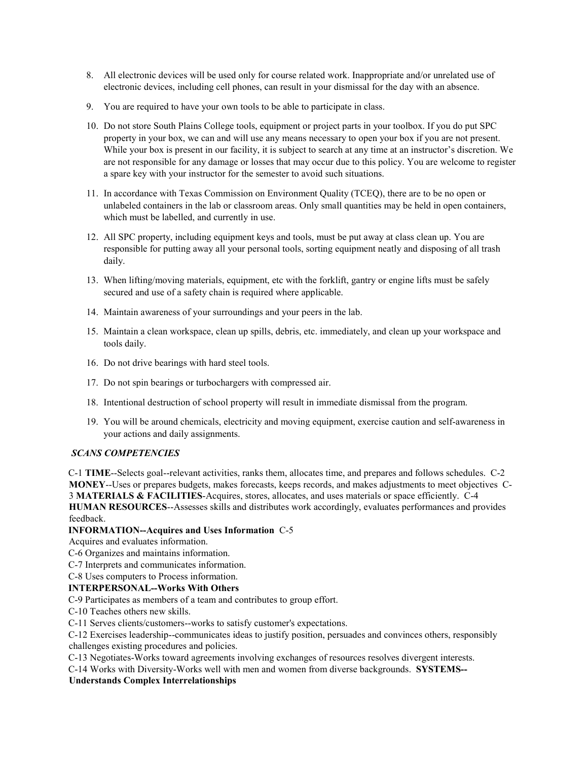- 8. All electronic devices will be used only for course related work. Inappropriate and/or unrelated use of electronic devices, including cell phones, can result in your dismissal for the day with an absence.
- 9. You are required to have your own tools to be able to participate in class.
- 10. Do not store South Plains College tools, equipment or project parts in your toolbox. If you do put SPC property in your box, we can and will use any means necessary to open your box if you are not present. While your box is present in our facility, it is subject to search at any time at an instructor's discretion. We are not responsible for any damage or losses that may occur due to this policy. You are welcome to register a spare key with your instructor for the semester to avoid such situations.
- 11. In accordance with Texas Commission on Environment Quality (TCEQ), there are to be no open or unlabeled containers in the lab or classroom areas. Only small quantities may be held in open containers, which must be labelled, and currently in use.
- 12. All SPC property, including equipment keys and tools, must be put away at class clean up. You are responsible for putting away all your personal tools, sorting equipment neatly and disposing of all trash daily.
- 13. When lifting/moving materials, equipment, etc with the forklift, gantry or engine lifts must be safely secured and use of a safety chain is required where applicable.
- 14. Maintain awareness of your surroundings and your peers in the lab.
- 15. Maintain a clean workspace, clean up spills, debris, etc. immediately, and clean up your workspace and tools daily.
- 16. Do not drive bearings with hard steel tools.
- 17. Do not spin bearings or turbochargers with compressed air.
- 18. Intentional destruction of school property will result in immediate dismissal from the program.
- 19. You will be around chemicals, electricity and moving equipment, exercise caution and self-awareness in your actions and daily assignments.

## *SCANS COMPETENCIES*

C-1 **TIME**--Selects goal--relevant activities, ranks them, allocates time, and prepares and follows schedules. C-2 **MONEY**--Uses or prepares budgets, makes forecasts, keeps records, and makes adjustments to meet objectives C-3 **MATERIALS & FACILITIES**-Acquires, stores, allocates, and uses materials or space efficiently. C-4 **HUMAN RESOURCES**--Assesses skills and distributes work accordingly, evaluates performances and provides feedback.

## **INFORMATION--Acquires and Uses Information** C-5

Acquires and evaluates information.

- C-6 Organizes and maintains information.
- C-7 Interprets and communicates information.

C-8 Uses computers to Process information.

## **INTERPERSONAL--Works With Others**

C-9 Participates as members of a team and contributes to group effort.

- C-10 Teaches others new skills.
- C-11 Serves clients/customers--works to satisfy customer's expectations.

C-12 Exercises leadership--communicates ideas to justify position, persuades and convinces others, responsibly challenges existing procedures and policies.

C-13 Negotiates-Works toward agreements involving exchanges of resources resolves divergent interests.

C-14 Works with Diversity-Works well with men and women from diverse backgrounds. **SYSTEMS--**

## **Understands Complex Interrelationships**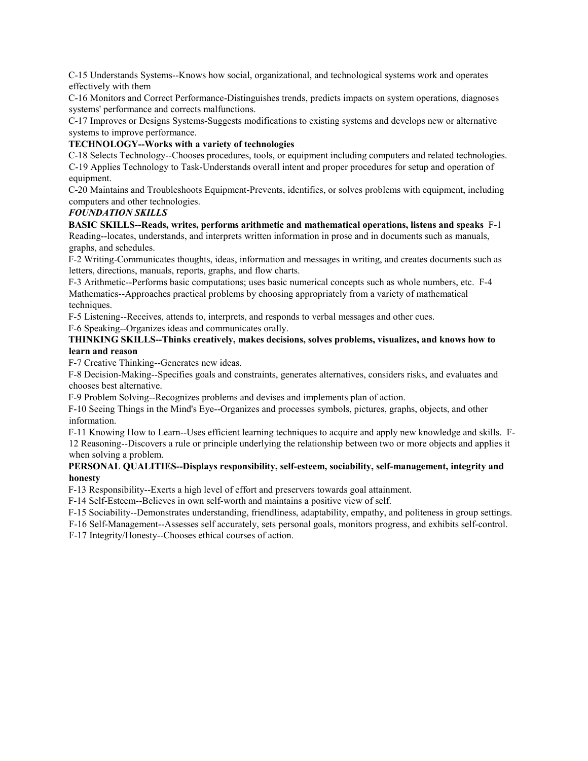C-15 Understands Systems--Knows how social, organizational, and technological systems work and operates effectively with them

C-16 Monitors and Correct Performance-Distinguishes trends, predicts impacts on system operations, diagnoses systems' performance and corrects malfunctions.

C-17 Improves or Designs Systems-Suggests modifications to existing systems and develops new or alternative systems to improve performance.

## **TECHNOLOGY--Works with a variety of technologies**

C-18 Selects Technology--Chooses procedures, tools, or equipment including computers and related technologies. C-19 Applies Technology to Task-Understands overall intent and proper procedures for setup and operation of equipment.

C-20 Maintains and Troubleshoots Equipment-Prevents, identifies, or solves problems with equipment, including computers and other technologies.

## *FOUNDATION SKILLS*

**BASIC SKILLS--Reads, writes, performs arithmetic and mathematical operations, listens and speaks** F-1 Reading--locates, understands, and interprets written information in prose and in documents such as manuals, graphs, and schedules.

F-2 Writing-Communicates thoughts, ideas, information and messages in writing, and creates documents such as letters, directions, manuals, reports, graphs, and flow charts.

F-3 Arithmetic--Performs basic computations; uses basic numerical concepts such as whole numbers, etc. F-4 Mathematics--Approaches practical problems by choosing appropriately from a variety of mathematical techniques.

F-5 Listening--Receives, attends to, interprets, and responds to verbal messages and other cues.

F-6 Speaking--Organizes ideas and communicates orally.

## **THINKING SKILLS--Thinks creatively, makes decisions, solves problems, visualizes, and knows how to learn and reason**

F-7 Creative Thinking--Generates new ideas.

F-8 Decision-Making--Specifies goals and constraints, generates alternatives, considers risks, and evaluates and chooses best alternative.

F-9 Problem Solving--Recognizes problems and devises and implements plan of action.

F-10 Seeing Things in the Mind's Eye--Organizes and processes symbols, pictures, graphs, objects, and other information.

F-11 Knowing How to Learn--Uses efficient learning techniques to acquire and apply new knowledge and skills. F-

12 Reasoning--Discovers a rule or principle underlying the relationship between two or more objects and applies it when solving a problem.

## **PERSONAL QUALITIES--Displays responsibility, self-esteem, sociability, self-management, integrity and honesty**

F-13 Responsibility--Exerts a high level of effort and preservers towards goal attainment.

F-14 Self-Esteem--Believes in own self-worth and maintains a positive view of self.

F-15 Sociability--Demonstrates understanding, friendliness, adaptability, empathy, and politeness in group settings.

F-16 Self-Management--Assesses self accurately, sets personal goals, monitors progress, and exhibits self-control.

F-17 Integrity/Honesty--Chooses ethical courses of action.